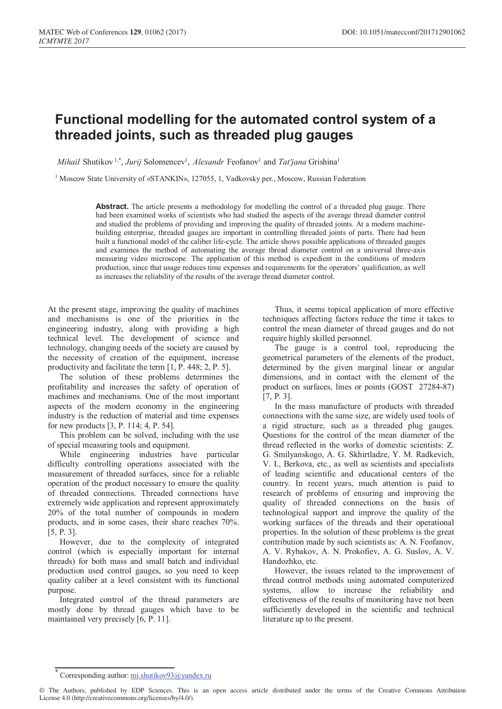## **Functional modelling for the automated control system of a threaded joints, such as threaded plug gauges**

*Mihail* Shutikov<sup>1,\*</sup>, *Jurij* Solomencev<sup>1</sup>, *Alexandr* Feofanov<sup>1</sup> and *Tat'jana* Grishina<sup>1</sup>

<sup>1</sup> Moscow State University of «STANKIN», 127055, 1, Vadkovsky per., Moscow, Russian Federation

Abstract. The article presents a methodology for modelling the control of a threaded plug gauge. There had been examined works of scientists who had studied the aspects of the average thread diameter control and studied the problems of providing and improving the quality of threaded joints. At a modern machinebuilding enterprise, threaded gauges are important in controlling threaded joints of parts. There had been built a functional model of the caliber life-cycle. The article shows possible applications of threaded gauges and examines the method of automating the average thread diameter control on a universal three-axis measuring video microscope. The application of this method is expedient in the conditions of modern production, since that usage reduces time expenses and requirements for the operators' qualification, as well as increases the reliability of the results of the average thread diameter control.

At the present stage, improving the quality of machines and mechanisms is one of the priorities in the engineering industry, along with providing a high technical level. The development of science and technology, changing needs of the society are caused by the necessity of creation of the equipment, increase productivity and facilitate the term [1, P. 448; 2, P. 5].

The solution of these problems determines the profitability and increases the safety of operation of machines and mechanisms. One of the most important aspects of the modern economy in the engineering industry is the reduction of material and time expenses for new products [3, P. 114; 4, P. 54].

This problem can be solved, including with the use of special measuring tools and equipment.

While engineering industries have particular difficulty controlling operations associated with the measurement of threaded surfaces, since for a reliable operation of the product necessary to ensure the quality of threaded connections. Threaded connections have extremely wide application and represent approximately 20% of the total number of compounds in modern products, and in some cases, their share reaches 70%. [5, P. 3].

However, due to the complexity of integrated control (which is especially important for internal threads) for both mass and small batch and individual production used control gauges, so you need to keep quality caliber at a level consistent with its functional purpose.

Integrated control of the thread parameters are mostly done by thread gauges which have to be maintained very precisely [6, P. 11].

Thus, it seems topical application of more effective techniques affecting factors reduce the time it takes to control the mean diameter of thread gauges and do not require highly skilled personnel.

The gauge is a control tool, reproducing the geometrical parameters of the elements of the product, determined by the given marginal linear or angular dimensions, and in contact with the element of the product on surfaces, lines or points (GOST 27284-87) [7, P. 3].

In the mass manufacture of products with threaded connections with the same size, are widely used tools of a rigid structure, such as a threaded plug gauges. Questions for the control of the mean diameter of the thread reflected in the works of domestic scientists: Z. G. Smilyanskogo, A. G. Skhirtladze, Y. M. Radkevich, V. I., Berkova, etc., as well as scientists and specialists of leading scientific and educational centers of the country. In recent years, much attention is paid to research of problems of ensuring and improving the quality of threaded connections on the basis of technological support and improve the quality of the working surfaces of the threads and their operational properties. In the solution of these problems is the great contribution made by such scientists as: A. N. Feofanov, A. V. Rybakov, A. N. Prokofiev, A. G. Suslov, A. V. Handozhko, etc.

However, the issues related to the improvement of thread control methods using automated computerized systems, allow to increase the reliability and effectiveness of the results of monitoring have not been sufficiently developed in the scientific and technical literature up to the present.

Corresponding author: mi.shutikov93@yandex.ru

<sup>©</sup> The Authors, published by EDP Sciences. This is an open access article distributed under the terms of the Creative Commons Attribution License 4.0 (http://creativecommons.org/licenses/by/4.0/).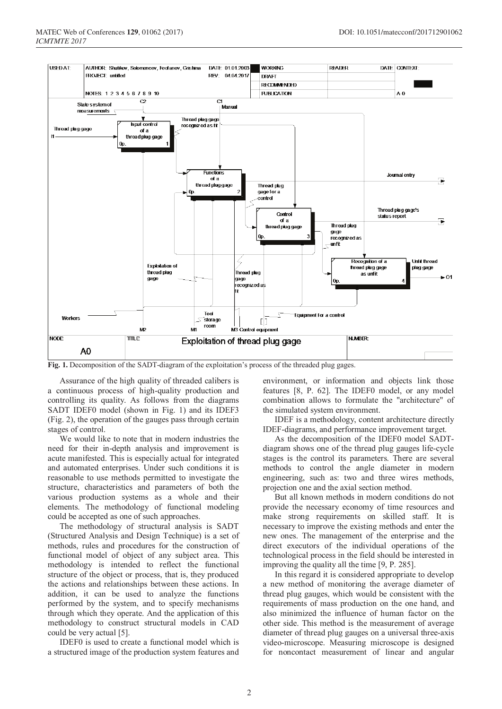

**Fig. 1.** Decomposition of the SADT-diagram of the exploitation's process of the threaded plug gages.

Assurance of the high quality of threaded calibers is a continuous process of high-quality production and controlling its quality. As follows from the diagrams SADT IDEF0 model (shown in Fig. 1) and its IDEF3 (Fig. 2), the operation of the gauges pass through certain stages of control.

We would like to note that in modern industries the need for their in-depth analysis and improvement is acute manifested. This is especially actual for integrated and automated enterprises. Under such conditions it is reasonable to use methods permitted to investigate the structure, characteristics and parameters of both the various production systems as a whole and their elements. The methodology of functional modeling could be accepted as one of such approaches.

The methodology of structural analysis is SADT (Structured Analysis and Design Technique) is a set of methods, rules and procedures for the construction of functional model of object of any subject area. This methodology is intended to reflect the functional structure of the object or process, that is, they produced the actions and relationships between these actions. In addition, it can be used to analyze the functions performed by the system, and to specify mechanisms through which they operate. And the application of this methodology to construct structural models in CAD could be very actual [5].

IDEF0 is used to create a functional model which is a structured image of the production system features and environment, or information and objects link those features [8, P. 62]. The IDEF0 model, or any model combination allows to formulate the "architecture" of the simulated system environment.

IDEF is a methodology, content architecture directly IDEF-diagrams, and performance improvement target.

As the decomposition of the IDEF0 model SADTdiagram shows one of the thread plug gauges life-cycle stages is the control its parameters. There are several methods to control the angle diameter in modern engineering, such as: two and three wires methods, projection one and the axial section method.

But all known methods in modern conditions do not provide the necessary economy of time resources and make strong requirements on skilled staff. It is necessary to improve the existing methods and enter the new ones. The management of the enterprise and the direct executors of the individual operations of the technological process in the field should be interested in improving the quality all the time [9, P. 285].

In this regard it is considered appropriate to develop a new method of monitoring the average diameter of thread plug gauges, which would be consistent with the requirements of mass production on the one hand, and also minimized the influence of human factor on the other side. This method is the measurement of average diameter of thread plug gauges on a universal three-axis video-microscope. Measuring microscope is designed for noncontact measurement of linear and angular